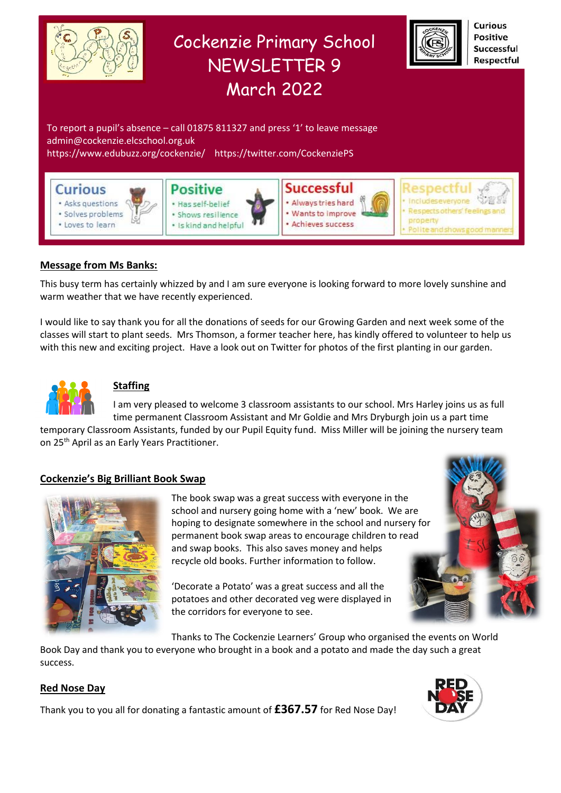

### **Message from Ms Banks:**

This busy term has certainly whizzed by and I am sure everyone is looking forward to more lovely sunshine and warm weather that we have recently experienced.

I would like to say thank you for all the donations of seeds for our Growing Garden and next week some of the classes will start to plant seeds. Mrs Thomson, a former teacher here, has kindly offered to volunteer to help us with this new and exciting project. Have a look out on Twitter for photos of the first planting in our garden.



### **Staffing**

I am very pleased to welcome 3 classroom assistants to our school. Mrs Harley joins us as full time permanent Classroom Assistant and Mr Goldie and Mrs Dryburgh join us a part time

temporary Classroom Assistants, funded by our Pupil Equity fund. Miss Miller will be joining the nursery team on 25th April as an Early Years Practitioner.

### **Cockenzie's Big Brilliant Book Swap**



The book swap was a great success with everyone in the school and nursery going home with a 'new' book. We are hoping to designate somewhere in the school and nursery for permanent book swap areas to encourage children to read and swap books. This also saves money and helps recycle old books. Further information to follow.

'Decorate a Potato' was a great success and all the potatoes and other decorated veg were displayed in the corridors for everyone to see.

Thanks to The Cockenzie Learners' Group who organised the events on World

Book Day and thank you to everyone who brought in a book and a potato and made the day such a great success.

### **Red Nose Day**



Thank you to you all for donating a fantastic amount of **£367.57** for Red Nose Day!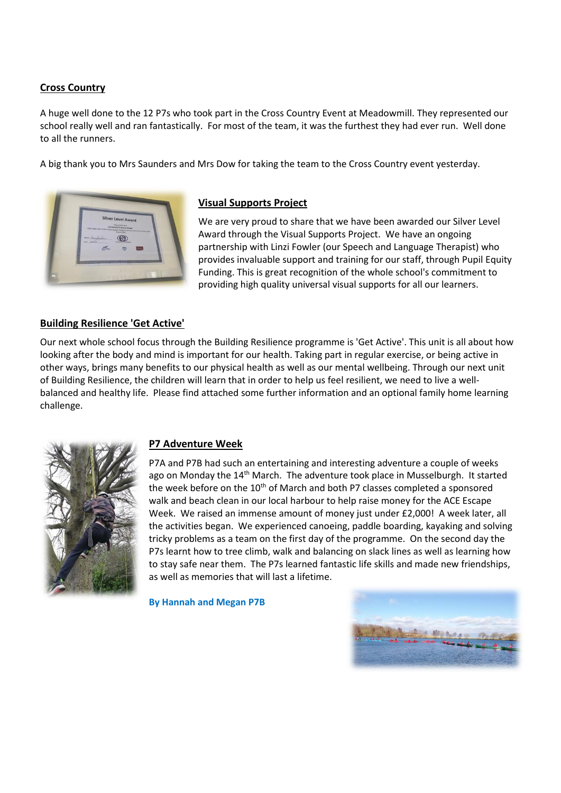### **Cross Country**

A huge well done to the 12 P7s who took part in the Cross Country Event at Meadowmill. They represented our school really well and ran fantastically. For most of the team, it was the furthest they had ever run. Well done to all the runners.

A big thank you to Mrs Saunders and Mrs Dow for taking the team to the Cross Country event yesterday.



### **Visual Supports Project**

We are very proud to share that we have been awarded our Silver Level Award through the Visual Supports Project. We have an ongoing partnership with Linzi Fowler (our Speech and Language Therapist) who provides invaluable support and training for our staff, through Pupil Equity Funding. This is great recognition of the whole school's commitment to providing high quality universal visual supports for all our learners.

### **Building Resilience 'Get Active'**

Our next whole school focus through the Building Resilience programme is 'Get Active'. This unit is all about how looking after the body and mind is important for our health. Taking part in regular exercise, or being active in other ways, brings many benefits to our physical health as well as our mental wellbeing. Through our next unit of Building Resilience, the children will learn that in order to help us feel resilient, we need to live a wellbalanced and healthy life. Please find attached some further information and an optional family home learning challenge.



### **P7 Adventure Week**

P7A and P7B had such an entertaining and interesting adventure a couple of weeks ago on Monday the 14<sup>th</sup> March. The adventure took place in Musselburgh. It started the week before on the 10<sup>th</sup> of March and both P7 classes completed a sponsored walk and beach clean in our local harbour to help raise money for the ACE Escape Week. We raised an immense amount of money just under £2,000! A week later, all the activities began. We experienced canoeing, paddle boarding, kayaking and solving tricky problems as a team on the first day of the programme. On the second day the P7s learnt how to tree climb, walk and balancing on slack lines as well as learning how to stay safe near them. The P7s learned fantastic life skills and made new friendships, as well as memories that will last a lifetime.

**By Hannah and Megan P7B**

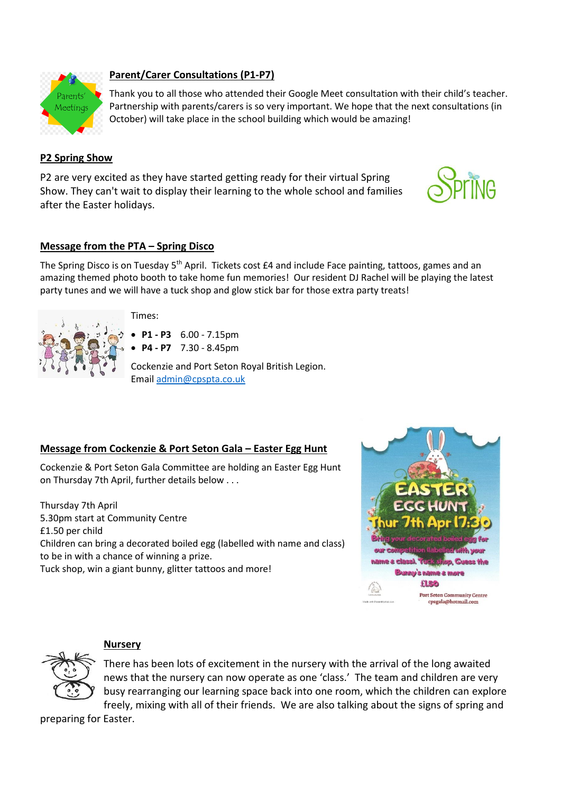

# **Parent/Carer Consultations (P1-P7)**

Thank you to all those who attended their Google Meet consultation with their child's teacher. Partnership with parents/carers is so very important. We hope that the next consultations (in October) will take place in the school building which would be amazing!

## **P2 Spring Show**

P2 are very excited as they have started getting ready for their virtual Spring Show. They can't wait to display their learning to the whole school and families after the Easter holidays.

# **Message from the PTA – Spring Disco**

The Spring Disco is on Tuesday 5<sup>th</sup> April. Tickets cost £4 and include Face painting, tattoos, games and an amazing themed photo booth to take home fun memories! Our resident DJ Rachel will be playing the latest party tunes and we will have a tuck shop and glow stick bar for those extra party treats!





**P1 - P3** 6.00 - 7.15pm

**P4 - P7** 7.30 - 8.45pm

Cockenzie and Port Seton Royal British Legion. Email [admin@cpspta.co.uk](mailto:admin@cpspta.co.uk)

# **Message from Cockenzie & Port Seton Gala – Easter Egg Hunt**

Cockenzie & Port Seton Gala Committee are holding an Easter Egg Hunt on Thursday 7th April, further details below . . .

Thursday 7th April 5.30pm start at Community Centre £1.50 per child Children can bring a decorated boiled egg (labelled with name and class) to be in with a chance of winning a prize. Tuck shop, win a giant bunny, glitter tattoos and more!





# **Nursery**

There has been lots of excitement in the nursery with the arrival of the long awaited news that the nursery can now operate as one 'class.' The team and children are very busy rearranging our learning space back into one room, which the children can explore freely, mixing with all of their friends. We are also talking about the signs of spring and

preparing for Easter.